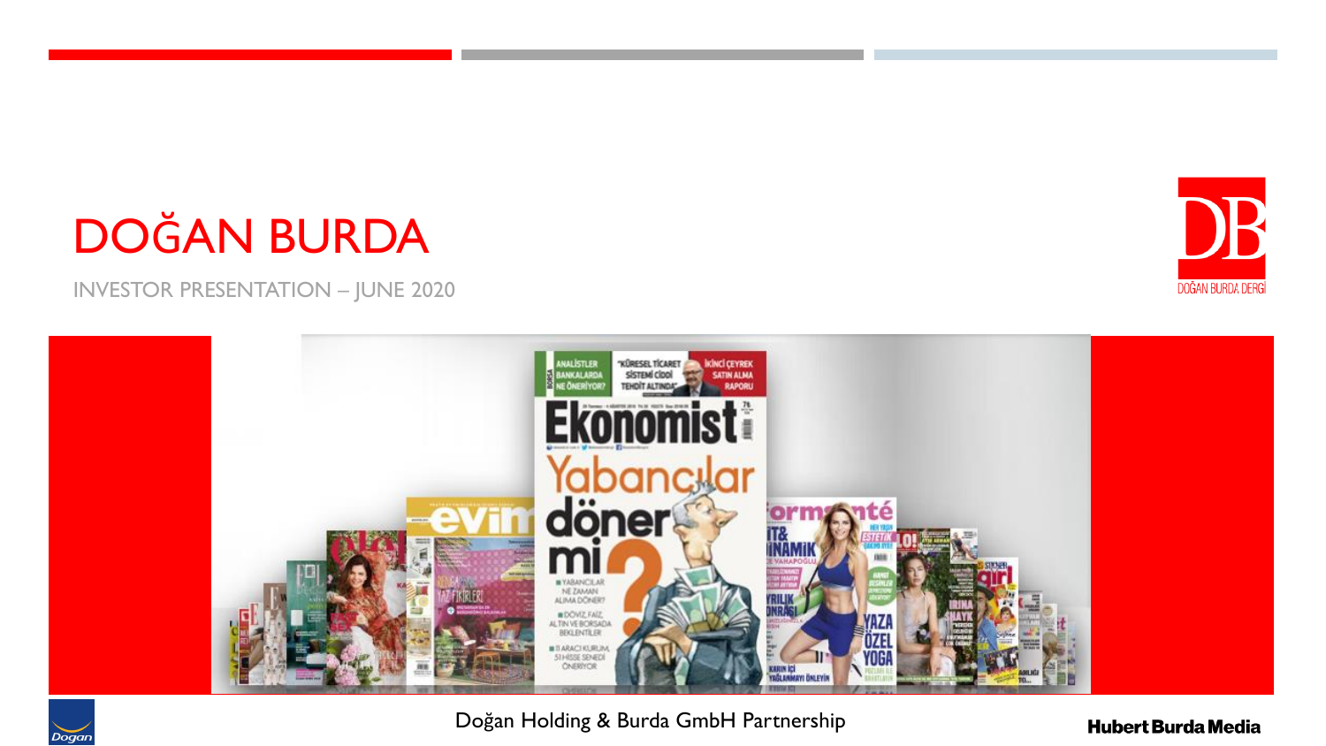## DOĞAN BURDA

INVESTOR PRESENTATION – JUNE 2020



Doğan Holding & Burda GmbH Partnership



DB

DOĞAN BURDA DERGİ

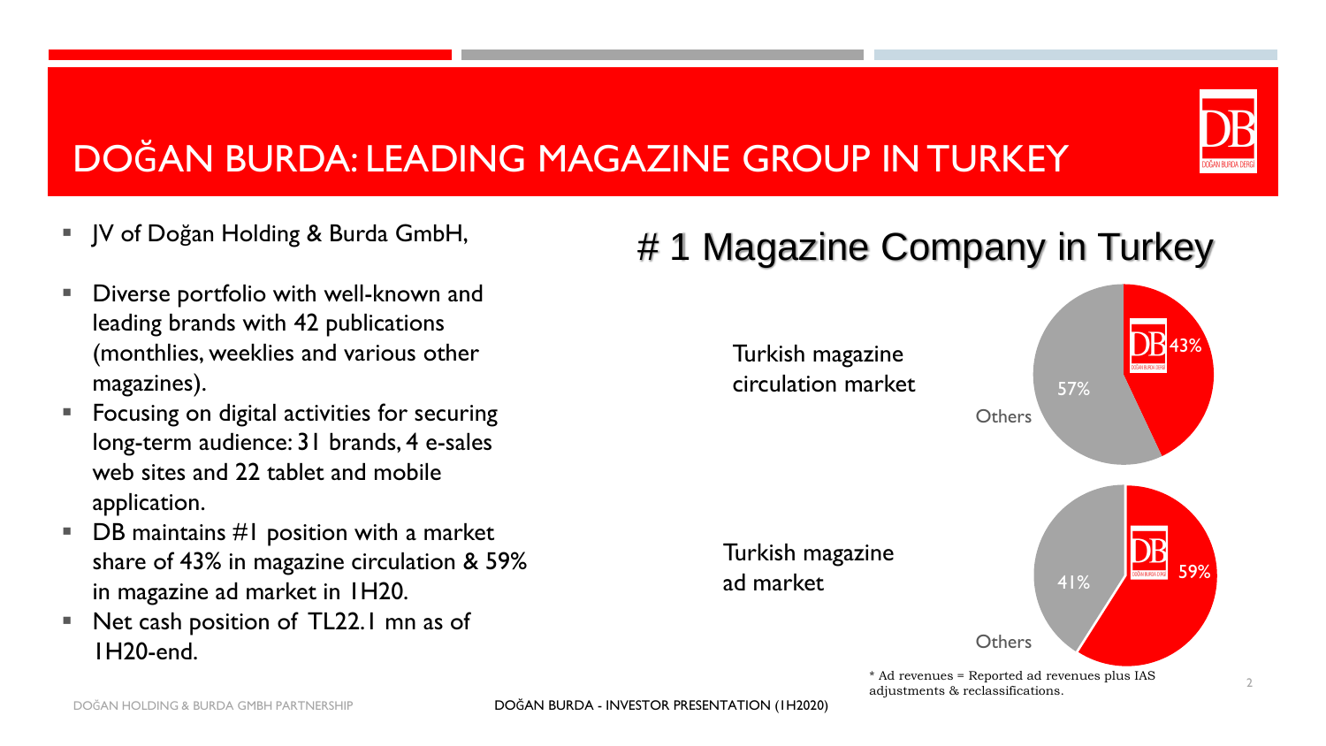#### DOĞAN BURDA: LEADING MAGAZINE GROUP IN TURKEY

- JV of Doğan Holding & Burda GmbH,
- Diverse portfolio with well-known and leading brands with 42 publications (monthlies, weeklies and various other magazines).
- Focusing on digital activities for securing long-term audience: 31 brands, 4 e-sales web sites and 22 tablet and mobile application.
- $\blacksquare$  DB maintains #1 position with a market share of 43% in magazine circulation & 59% in magazine ad market in 1H20.
- Net cash position of TL22.1 mn as of 1H20-end.

#### # 1 Magazine Company in Turkey

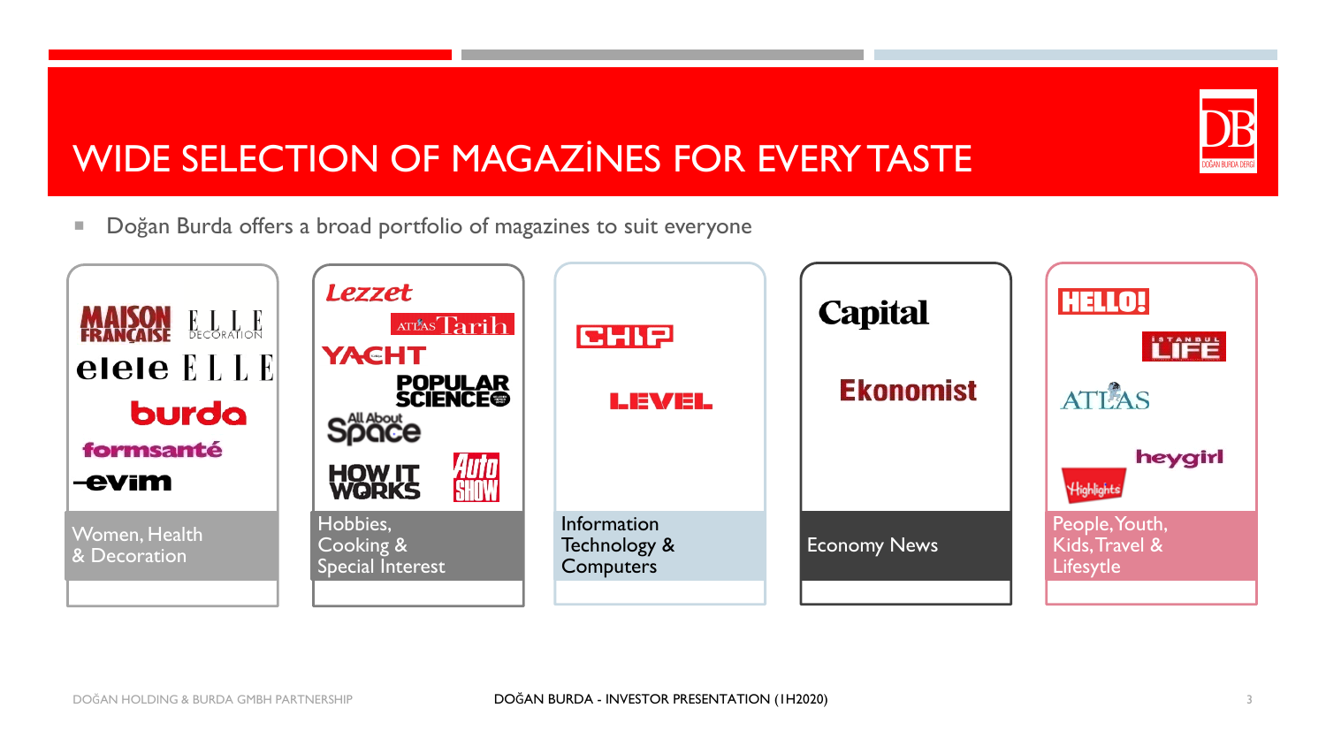# DOĞAN BURDA DERG

#### WIDE SELECTION OF MAGAZİNES FOR EVERY TASTE

**Dogan Burda offers a broad portfolio of magazines to suit everyone** 

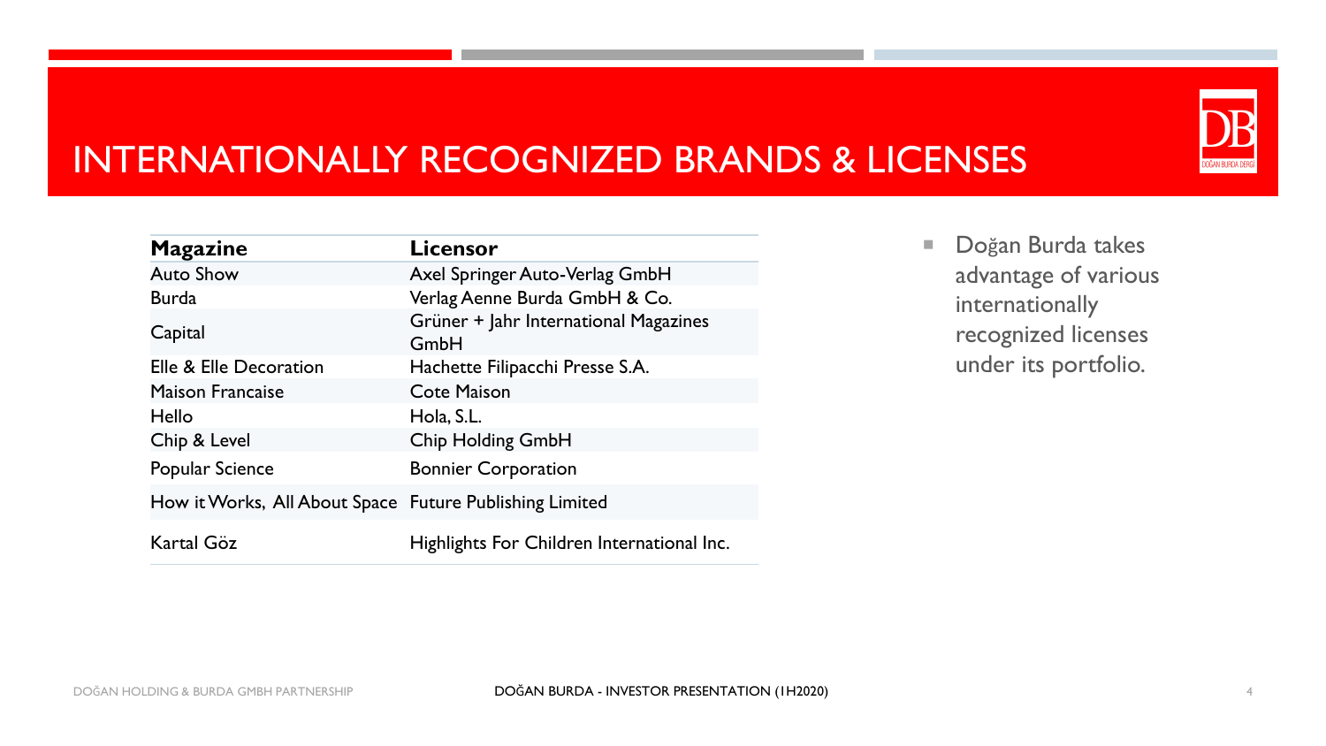#### INTERNATIONALLY RECOGNIZED BRANDS & LICENSES

| <b>Magazine</b>                                         | Licensor                                      |
|---------------------------------------------------------|-----------------------------------------------|
| <b>Auto Show</b>                                        | Axel Springer Auto-Verlag GmbH                |
| <b>Burda</b>                                            | Verlag Aenne Burda GmbH & Co.                 |
| Capital                                                 | Grüner + Jahr International Magazines<br>GmbH |
| Elle & Elle Decoration                                  | Hachette Filipacchi Presse S.A.               |
| <b>Maison Francaise</b>                                 | <b>Cote Maison</b>                            |
| Hello                                                   | Hola, S.L.                                    |
| Chip & Level                                            | <b>Chip Holding GmbH</b>                      |
| Popular Science                                         | <b>Bonnier Corporation</b>                    |
| How it Works, All About Space Future Publishing Limited |                                               |
| Kartal Göz                                              | Highlights For Children International Inc.    |

Doğan Burda takes advantage of various internationally recognized licenses under its portfolio.

DOĞAN BURDA DERG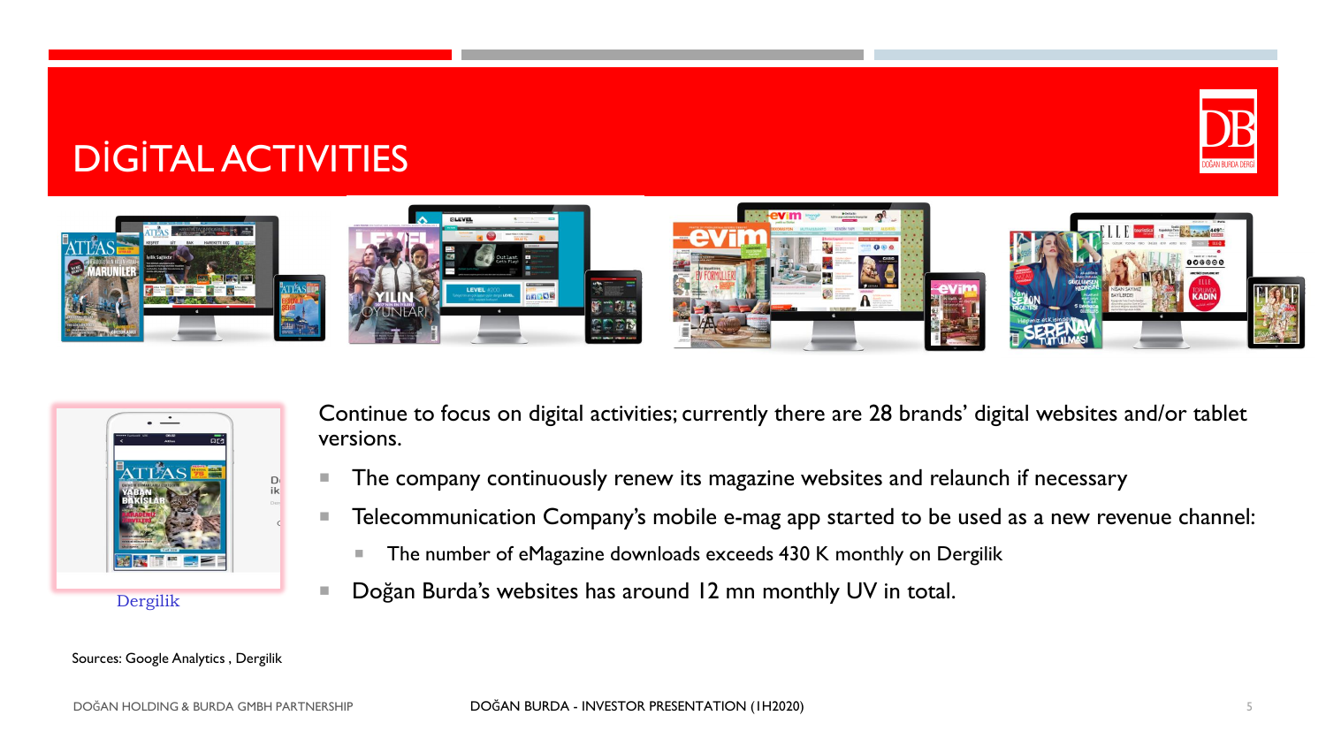#### DİGİTAL ACTIVITIES





Continue to focus on digital activities; currently there are 28 brands' digital websites and/or tablet versions.

- The company continuously renew its magazine websites and relaunch if necessary
- **Telecommunication Company's mobile e-mag app started to be used as a new revenue channel:** 
	- The number of eMagazine downloads exceeds 430 K monthly on Dergilik
- Doğan Burda's websites has around 12 mn monthly UV in total.

#### Sources: Google Analytics , Dergilik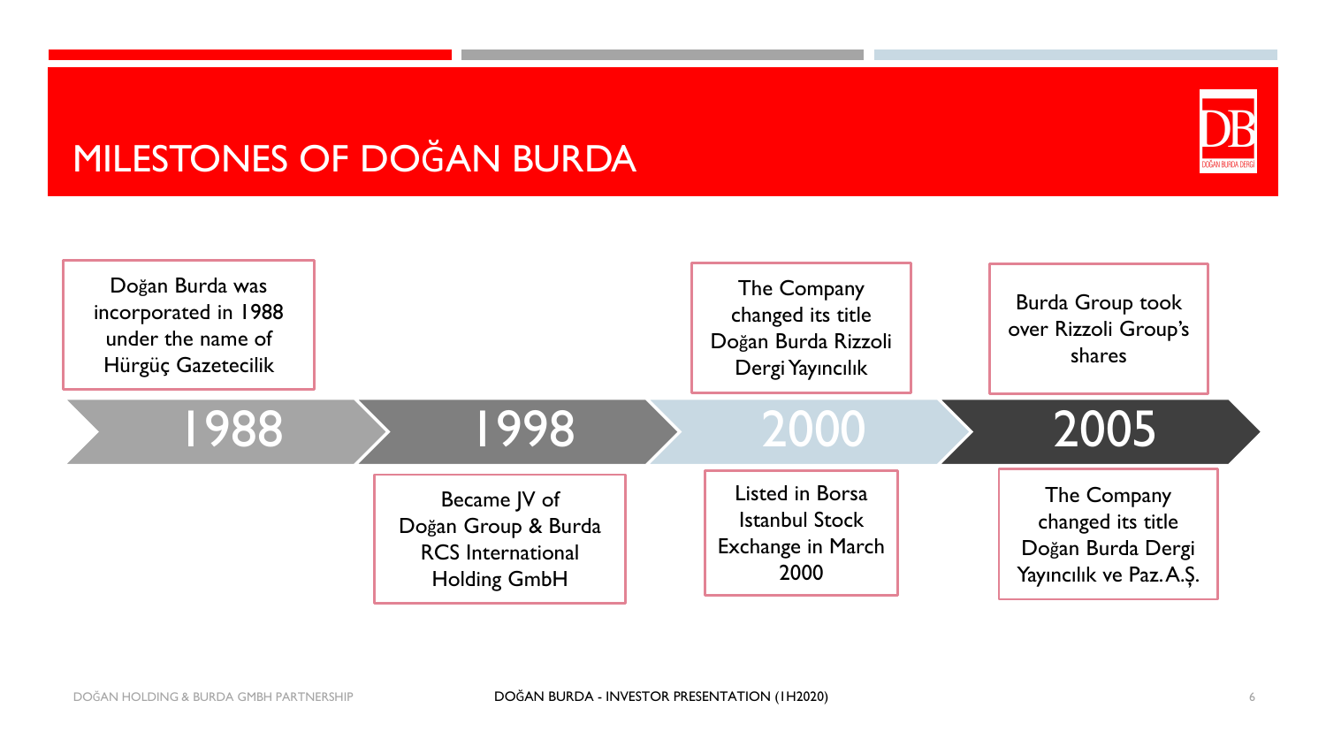#### MILESTONES OF DOĞAN BURDA



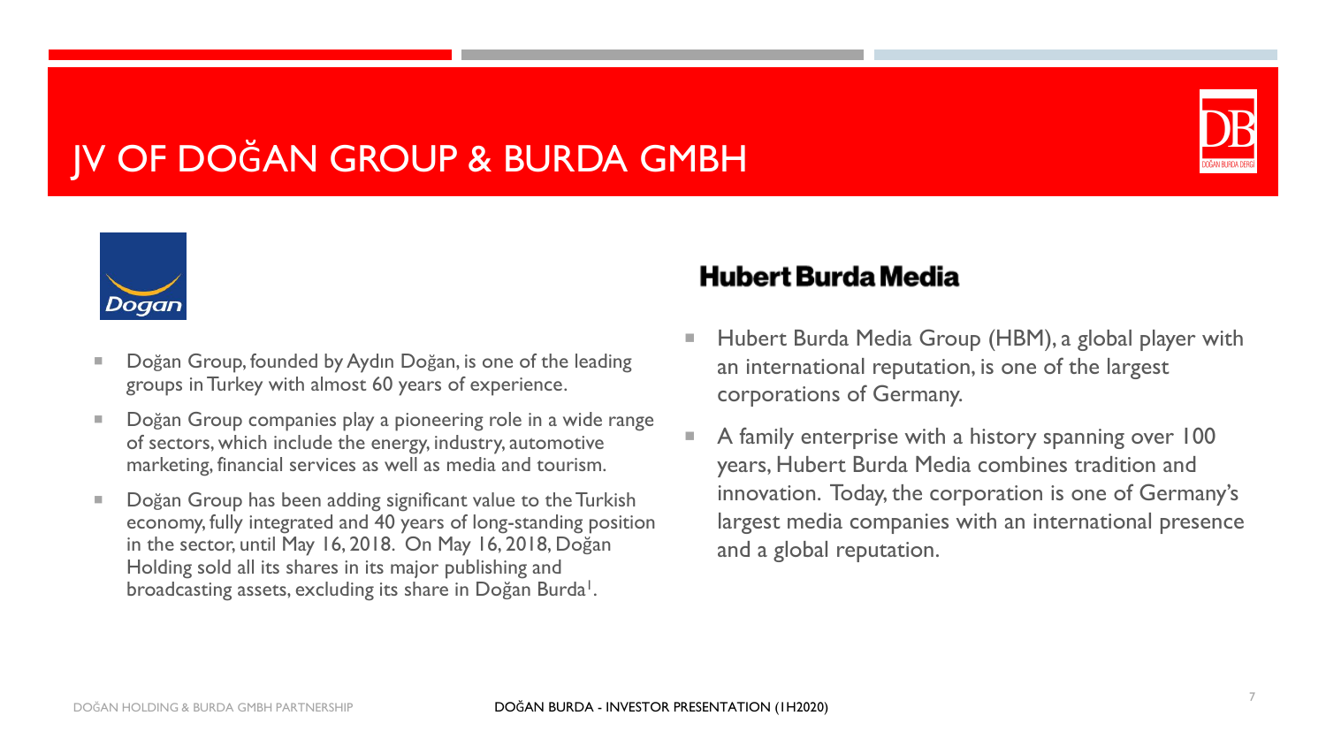#### JV OF DOĞAN GROUP & BURDA GMBH





- Doğan Group, founded by Aydın Doğan, is one of the leading groups in Turkey with almost 60 years of experience.
- Doğan Group companies play a pioneering role in a wide range of sectors, which include the energy, industry, automotive marketing, financial services as well as media and tourism.
- Doğan Group has been adding significant value to the Turkish economy, fully integrated and 40 years of long-standing position in the sector, until May 16, 2018. On May 16, 2018, Doğan Holding sold all its shares in its major publishing and broadcasting assets, excluding its share in Doğan Burda<sup>1</sup>.

#### **Hubert Burda Media**

- Hubert Burda Media Group (HBM), a global player with an international reputation, is one of the largest corporations of Germany.
- A family enterprise with a history spanning over 100 years, Hubert Burda Media combines tradition and innovation. Today, the corporation is one of Germany's largest media companies with an international presence and a global reputation.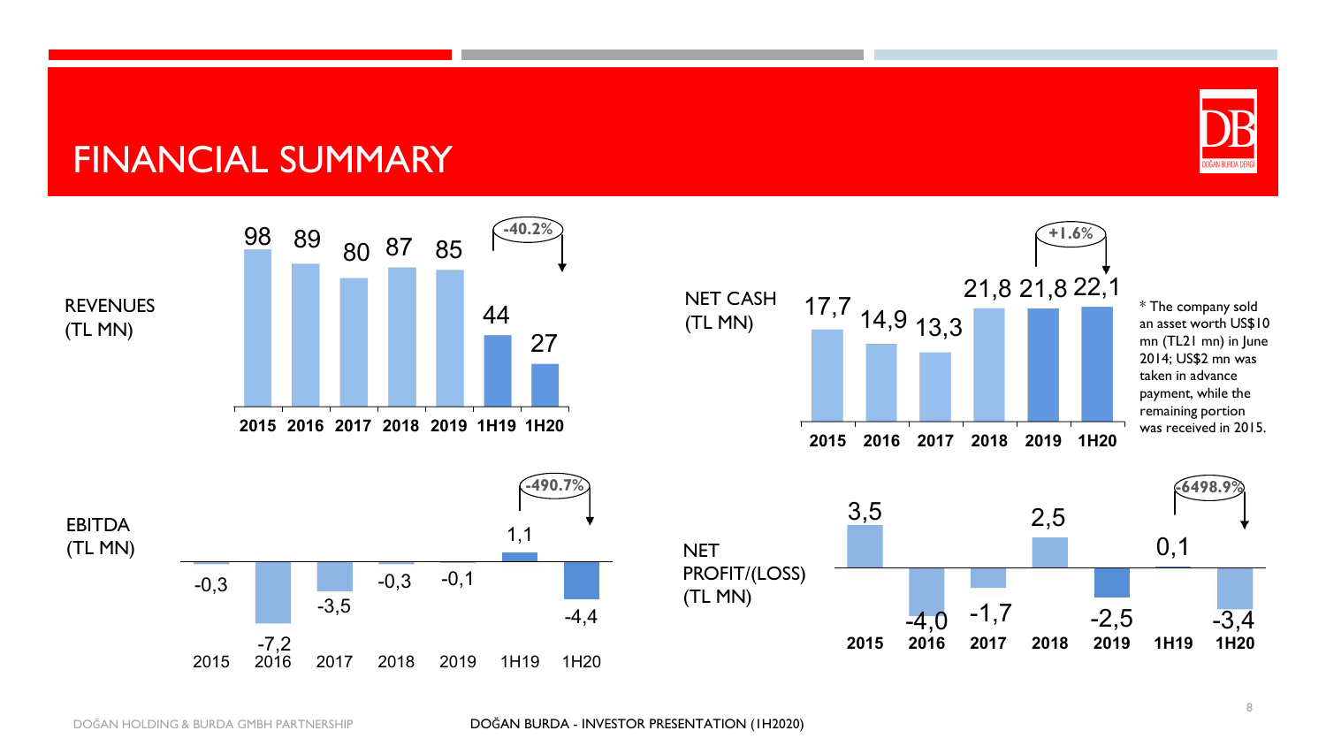

#### FINANCIAL SUMMARY

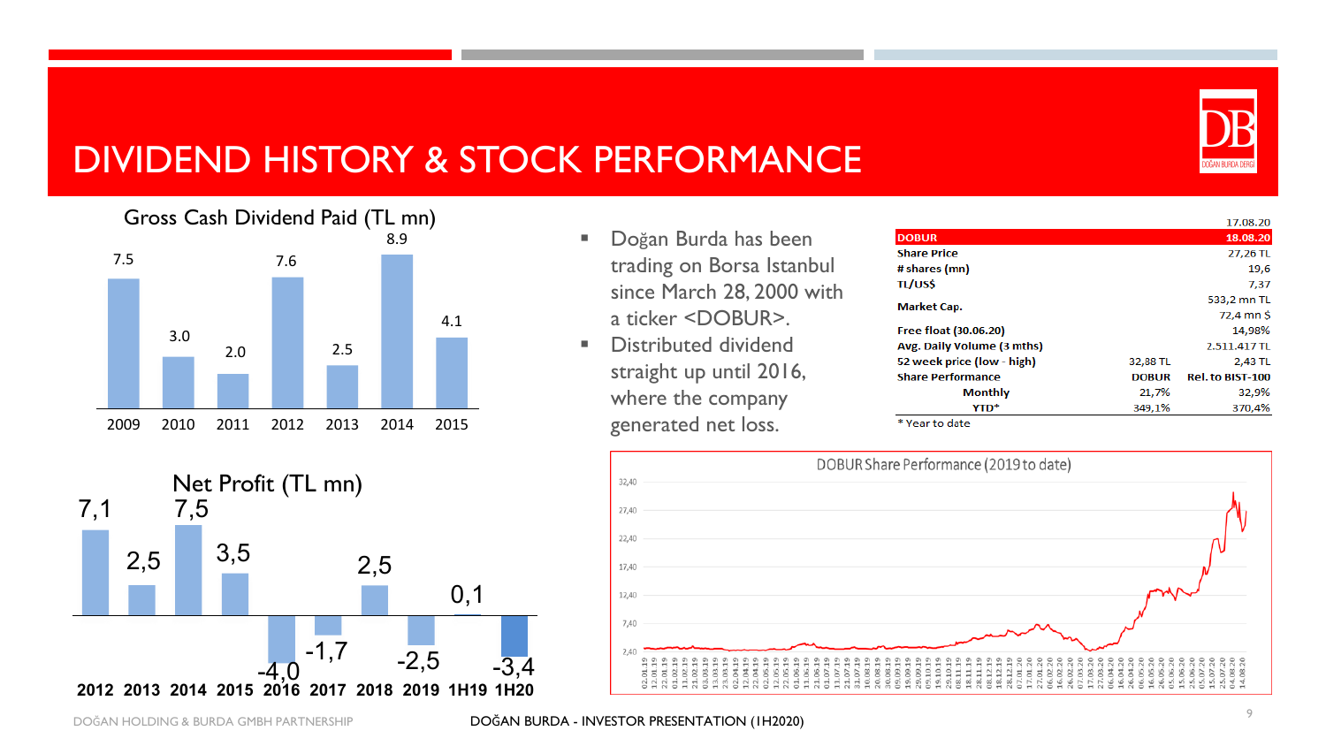

#### DIVIDEND HISTORY & STOCK PERFORMANCE



- **Doğan Burda has been** trading on Borsa Istanbul since March 28, 2000 with a ticker <DOBUR>.
- Distributed dividend straight up until 2016, where the company generated net loss.

|                            |              | 17.08.20                |
|----------------------------|--------------|-------------------------|
| <b>DOBUR</b>               |              | 18.08.20                |
| <b>Share Price</b>         |              | 27,26 TL                |
| # shares (mn)              |              | 19,6                    |
| <b>TL/US\$</b>             |              | 7,37                    |
| <b>Market Cap.</b>         |              | 533,2 mn TL             |
|                            |              | 72.4 mn \$              |
| Free float (30.06.20)      |              | 14,98%                  |
| Avg. Daily Volume (3 mths) |              | 2.511.417 TL            |
| 52 week price (low - high) | 32,88 TL     | 2,43 TL                 |
| <b>Share Performance</b>   | <b>DOBUR</b> | <b>Rel. to BIST-100</b> |
| Monthly                    | 21,7%        | 32,9%                   |
| <b>YTD*</b>                | 349.1%       | 370,4%                  |

\* Year to date



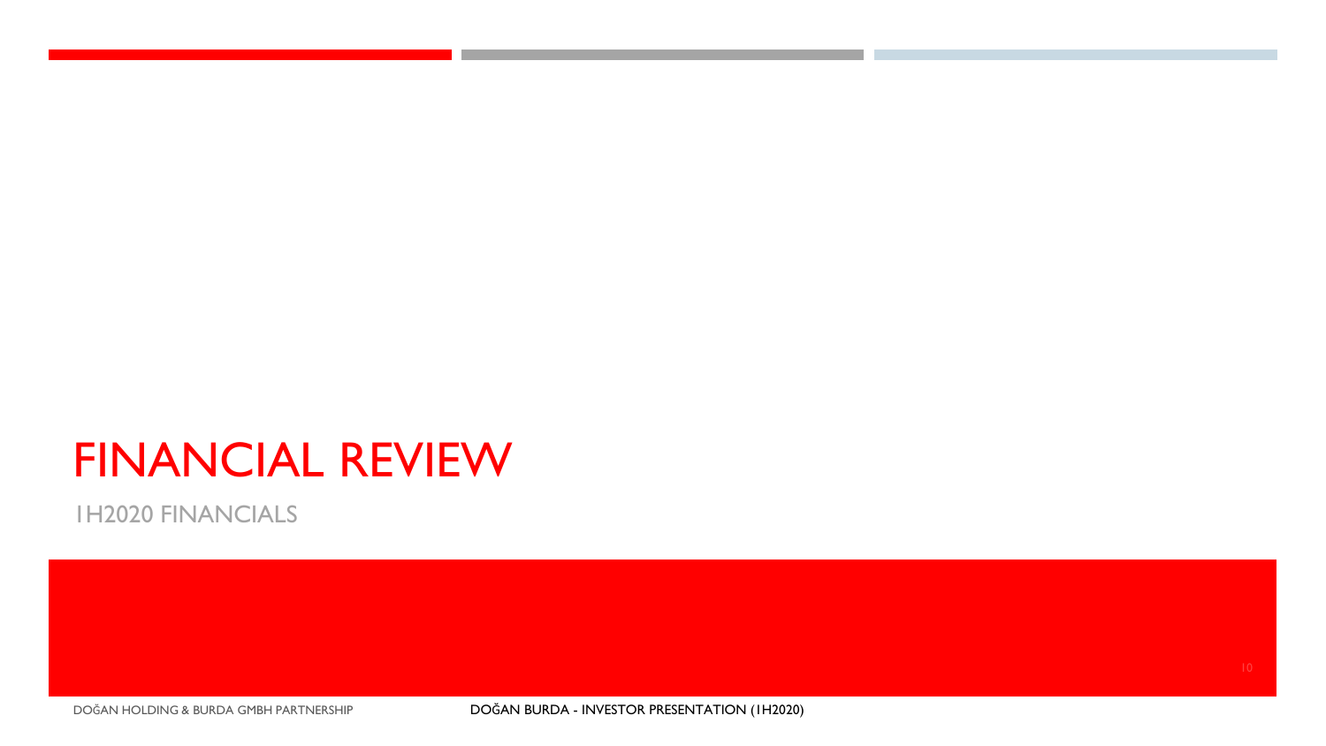### FINANCIAL REVIEW

1H2020 FINANCIALS

DOĞAN HOLDING & BURDA GMBH PARTNERSHIP DOĞAN BURDA - INVESTOR PRESENTATION (1H2020)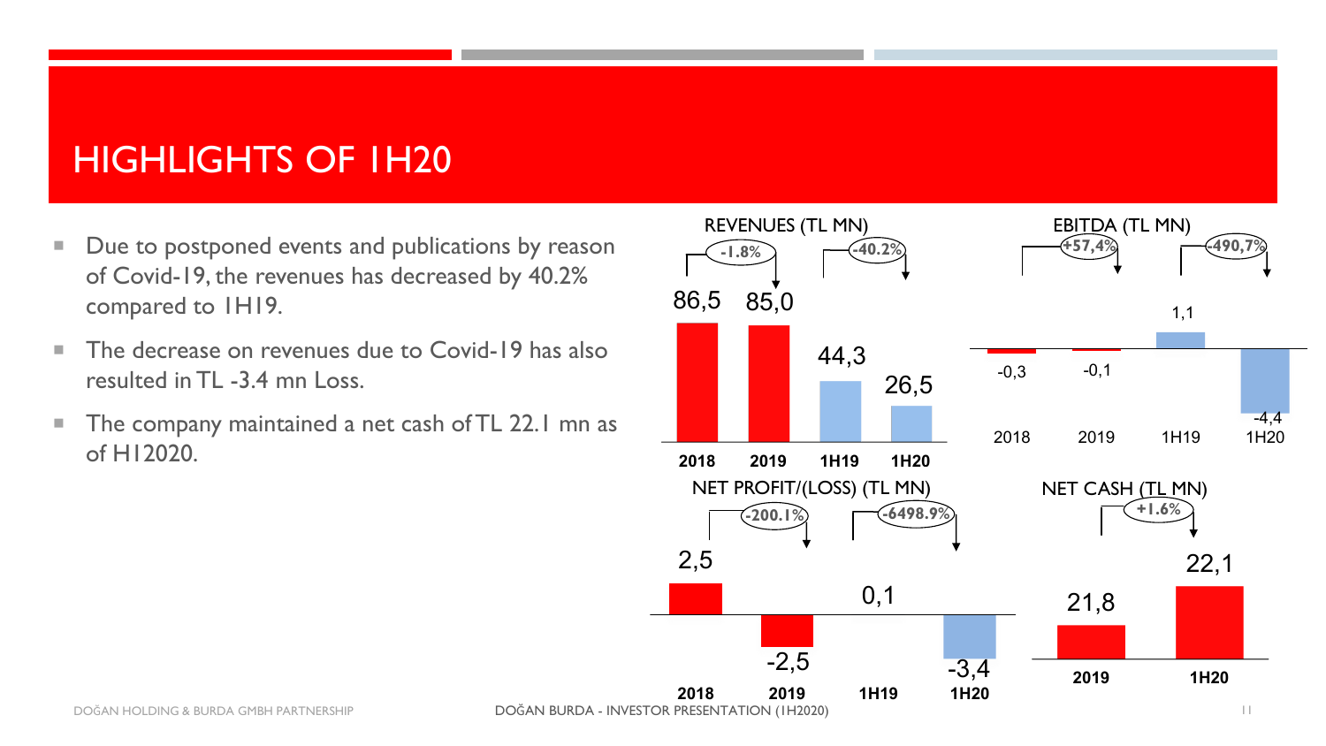#### HIGHLIGHTS OF 1H20

- Due to postponed events and publications by reason of Covid-19, the revenues has decreased by 40.2% compared to 1H19.
- The decrease on revenues due to Covid-19 has also resulted in TL -3.4 mn Loss.
- **The company maintained a net cash of TL 22.1 mn as** of H12020.

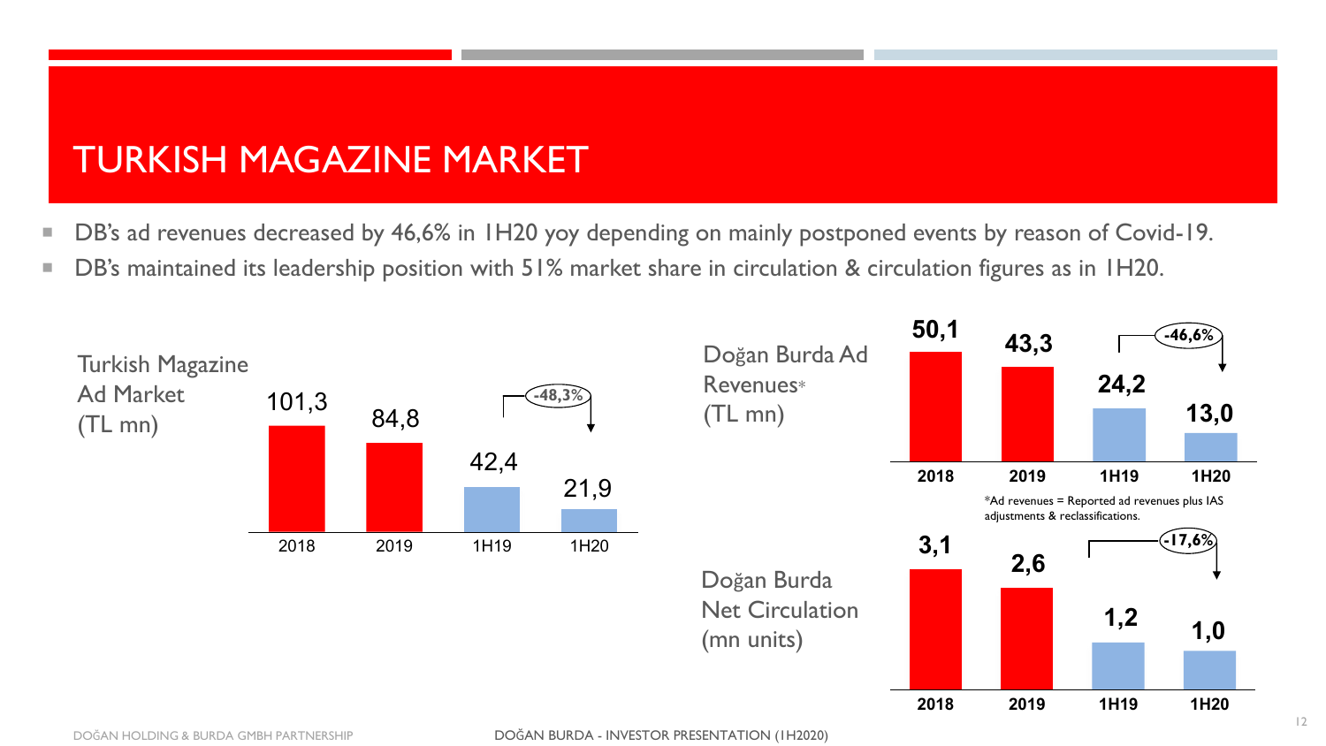#### TURKISH MAGAZINE MARKET

- DB's ad revenues decreased by 46,6% in 1H20 yoy depending on mainly postponed events by reason of Covid-19.
- DB's maintained its leadership position with 51% market share in circulation & circulation figures as in 1H20.

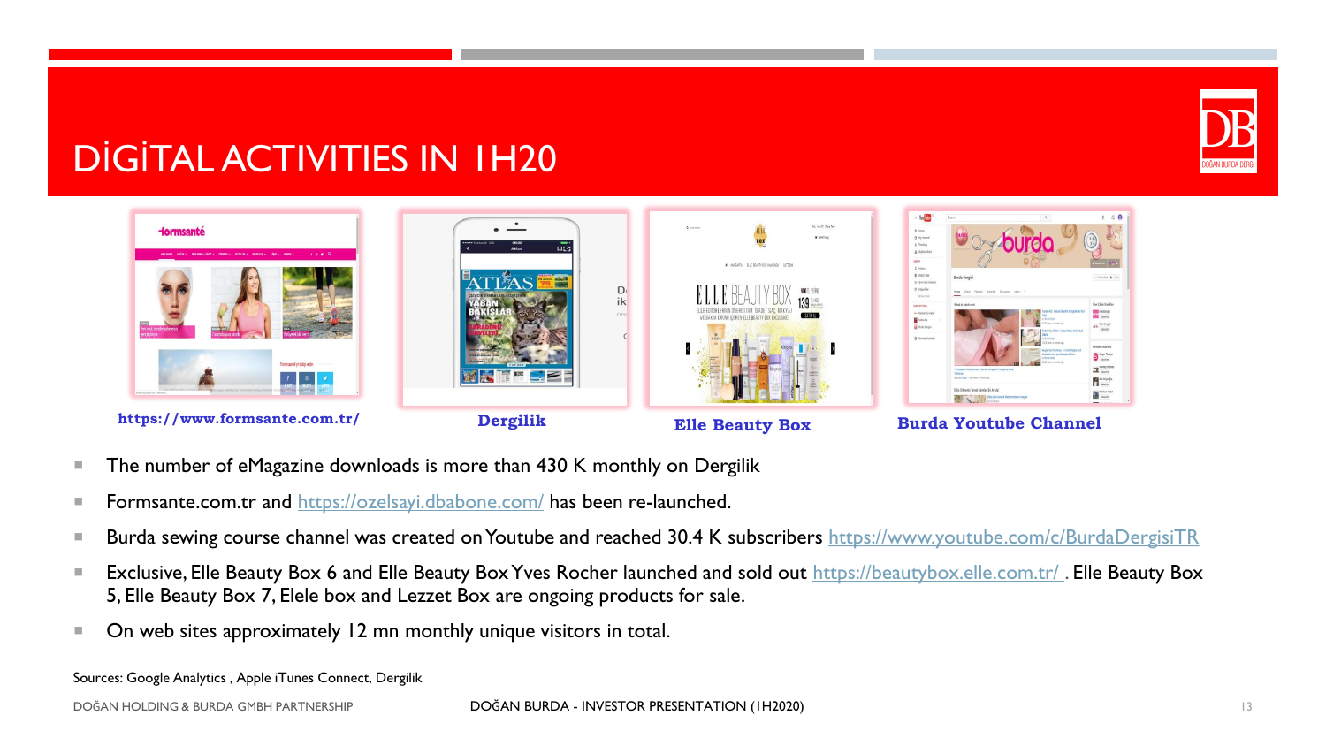

#### DİGİTAL ACTIVITIES IN 1H20



- The number of eMagazine downloads is more than 430 K monthly on Dergilik
- **Formsante.com.tr and <https://ozelsayi.dbabone.com/> has been re-launched.**
- Burda sewing course channel was created on Youtube and reached 30.4 K subscribers <https://www.youtube.com/c/BurdaDergisiTR>
- Exclusive, Elle Beauty Box 6 and Elle Beauty Box Yves Rocher launched and sold out https://beautybox.elle.com.tr/. Elle Beauty Box 5, Elle Beauty Box 7, Elele box and Lezzet Box are ongoing products for sale.
- On web sites approximately 12 mn monthly unique visitors in total.

Sources: Google Analytics , Apple iTunes Connect, Dergilik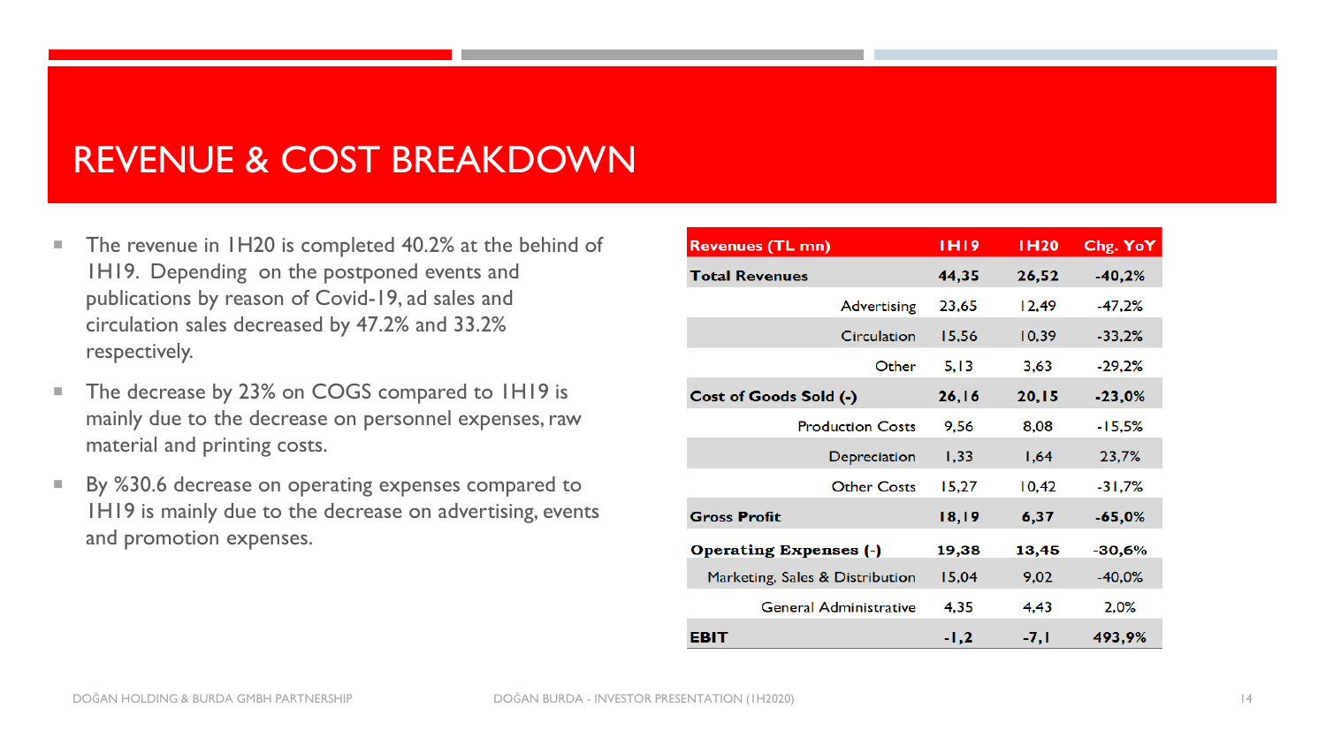#### REVENUE & COST BREAKDOWN

- The revenue in 1H20 is completed 40.2% at the behind of 1H19. Depending on the postponed events and publications by reason of Covid-19, ad sales and circulation sales decreased by 47.2% and 33.2% respectively.
- The decrease by 23% on COGS compared to 1H19 is mainly due to the decrease on personnel expenses, raw material and printing costs.
- By %30.6 decrease on operating expenses compared to 1H19 is mainly due to the decrease on advertising, events and promotion expenses.

| <b>Revenues (TL mn)</b>         | <b>IHI9</b> | <b>IH20</b> | Chg. YoY |
|---------------------------------|-------------|-------------|----------|
| <b>Total Revenues</b>           | 44,35       | 26,52       | $-40,2%$ |
| Advertising                     | 23,65       | 12,49       | $-47,2%$ |
| Circulation                     | 15,56       | 10,39       | $-33,2%$ |
| Other                           | 5,13        | 3,63        | $-29,2%$ |
| Cost of Goods Sold (-)          | 26, 16      | 20, 15      | $-23,0%$ |
| <b>Production Costs</b>         | 9,56        | 8,08        | $-15,5%$ |
| Depreciation                    | 1,33        | 1,64        | 23,7%    |
| <b>Other Costs</b>              | 15,27       | 10,42       | $-31,7%$ |
| <b>Gross Profit</b>             | 18,19       | 6,37        | $-65,0%$ |
| <b>Operating Expenses (-)</b>   | 19,38       | 13,45       | $-30,6%$ |
| Marketing, Sales & Distribution | 15,04       | 9,02        | $-40,0%$ |
| <b>General Administrative</b>   | 4,35        | 4,43        | 2,0%     |
| EBIT                            | -1,2        | -7,1        | 493,9%   |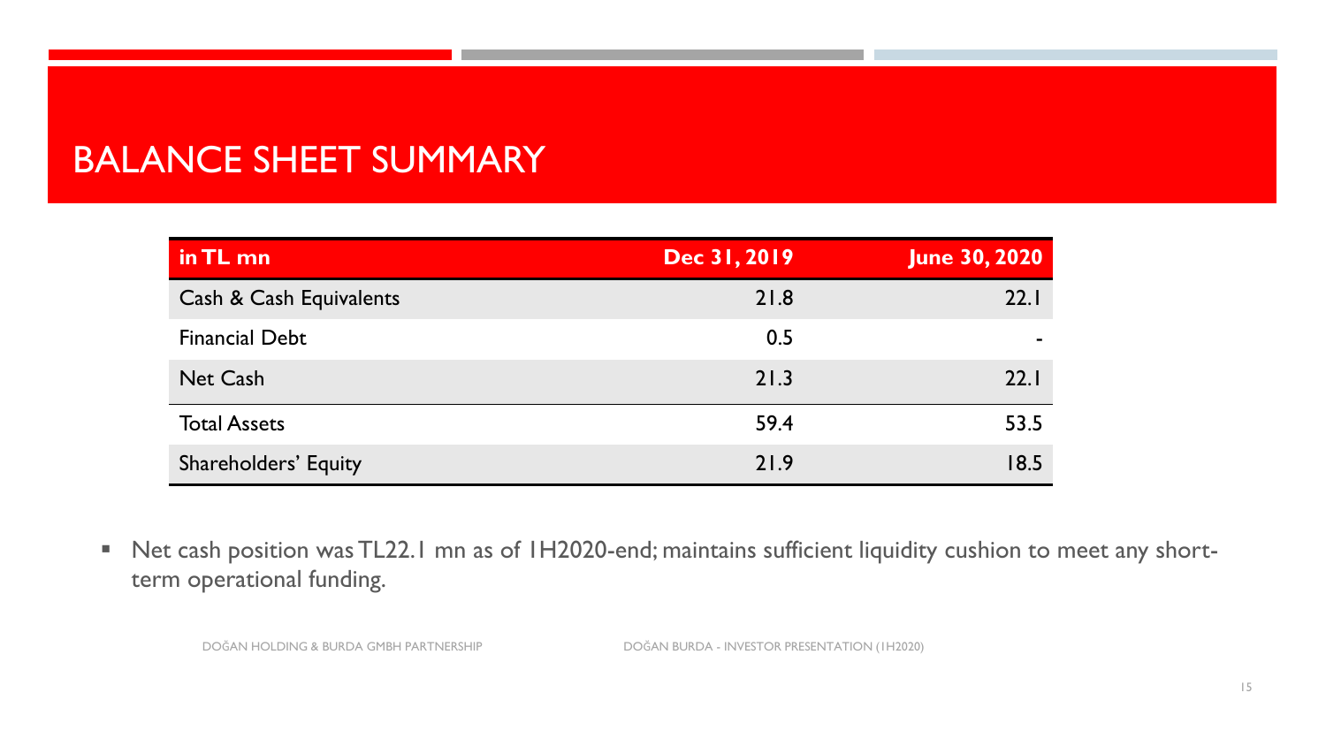#### BALANCE SHEET SUMMARY

| in TL mn                | Dec 31, 2019 | <b>June 30, 2020</b> |
|-------------------------|--------------|----------------------|
| Cash & Cash Equivalents | 21.8         | 22.1                 |
| <b>Financial Debt</b>   | 0.5          |                      |
| <b>Net Cash</b>         | 21.3         | 22.1                 |
| <b>Total Assets</b>     | 59.4         | 53.5                 |
| Shareholders' Equity    | 21.9         | 18.5                 |

■ Net cash position was TL22.1 mn as of 1H2020-end; maintains sufficient liquidity cushion to meet any shortterm operational funding.

DOĞAN HOLDING & BURDA GMBH PARTNERSHIP DOĞAN BURDA - INVESTOR PRESENTATION (1H2020)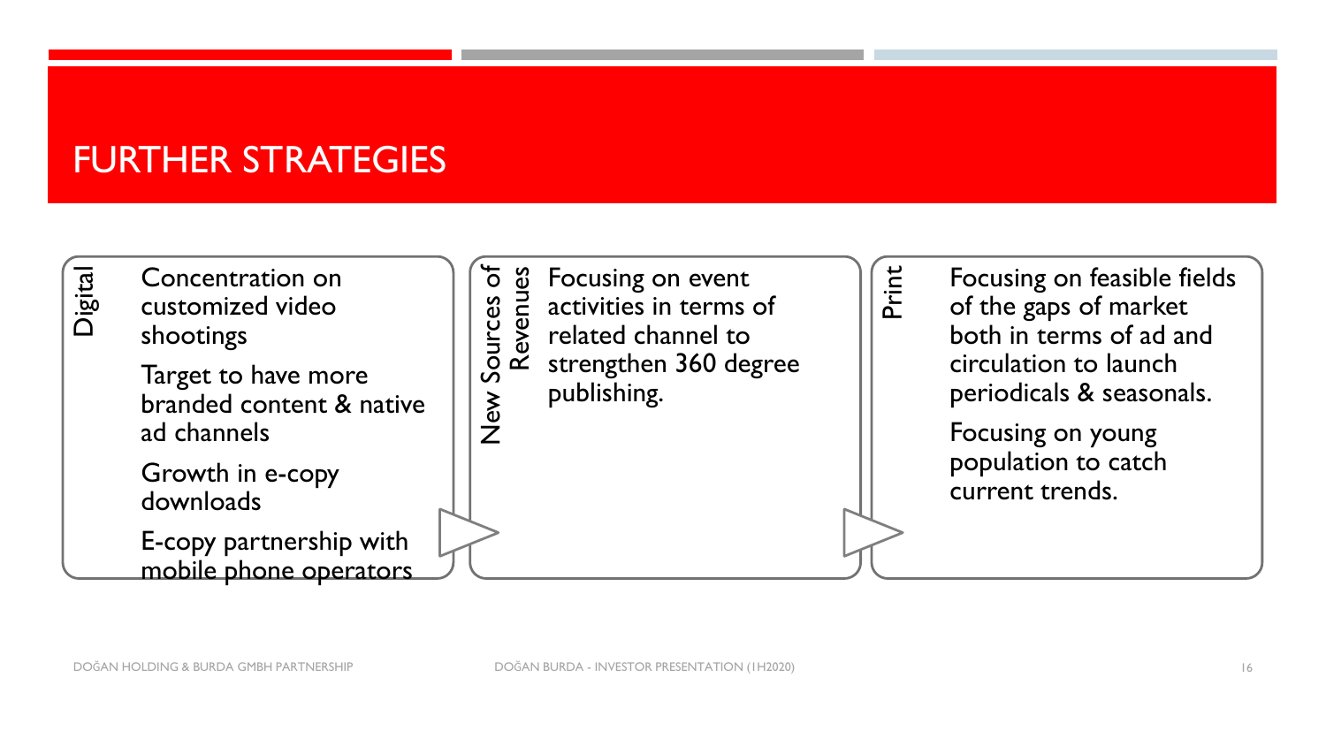#### FURTHER STRATEGIES

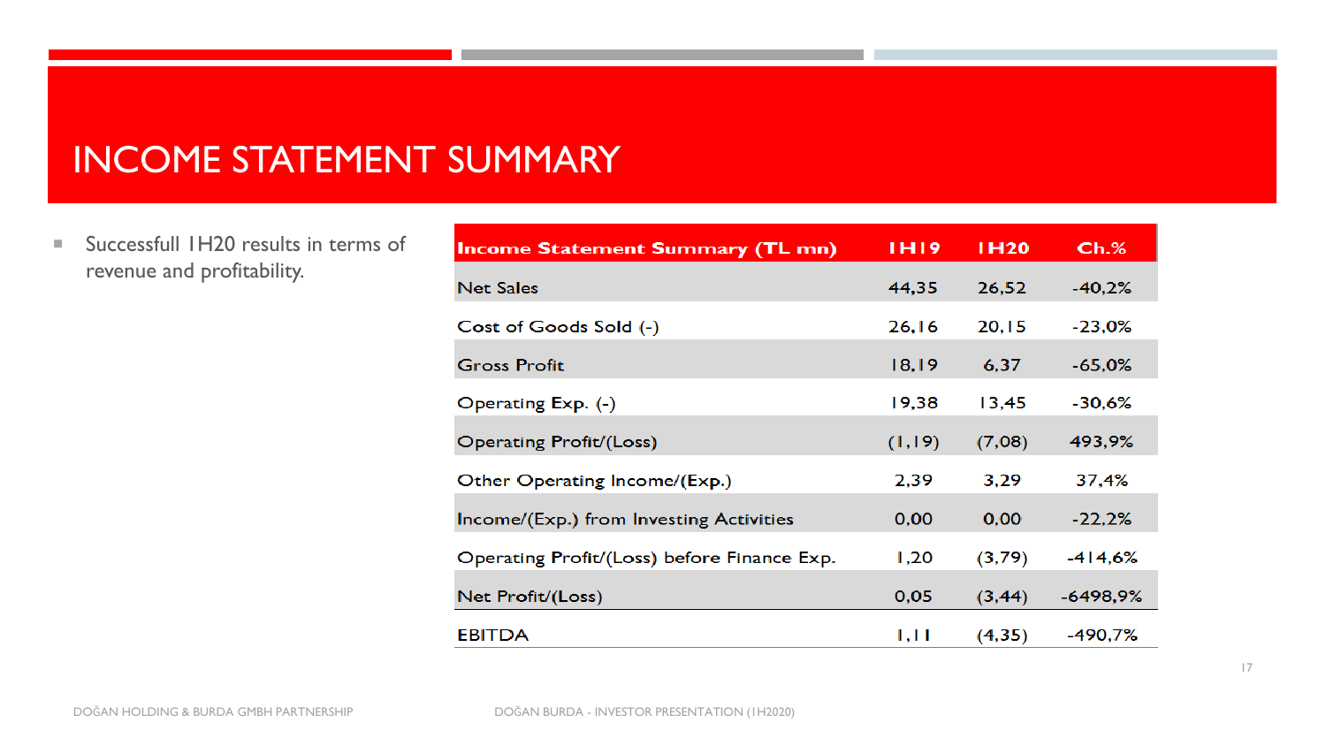#### INCOME STATEMENT SUMMARY

■ Successfull 1H20 results in terms of revenue and profitability.

| <b>Income Statement Summary (TL mn)</b>     | <b>IHI9</b> | <b>IH20</b> | Ch.%       |
|---------------------------------------------|-------------|-------------|------------|
| <b>Net Sales</b>                            | 44,35       | 26,52       | $-40,2%$   |
| Cost of Goods Sold (-)                      | 26,16       | 20,15       | $-23,0%$   |
| <b>Gross Profit</b>                         | 18,19       | 6,37        | $-65,0%$   |
| Operating Exp. (-)                          | 19,38       | 13,45       | $-30.6%$   |
| Operating Profit/(Loss)                     | (1, 19)     | (7,08)      | 493,9%     |
| Other Operating Income/(Exp.)               | 2,39        | 3,29        | 37,4%      |
| Income/(Exp.) from Investing Activities     | 0,00        | 0,00        | $-22,2%$   |
| Operating Profit/(Loss) before Finance Exp. | 1,20        | (3,79)      | $-414,6%$  |
| Net Profit/(Loss)                           | 0,05        | (3, 44)     | $-6498,9%$ |
| <b>EBITDA</b>                               | 1,11        | (4,35)      | $-490,7%$  |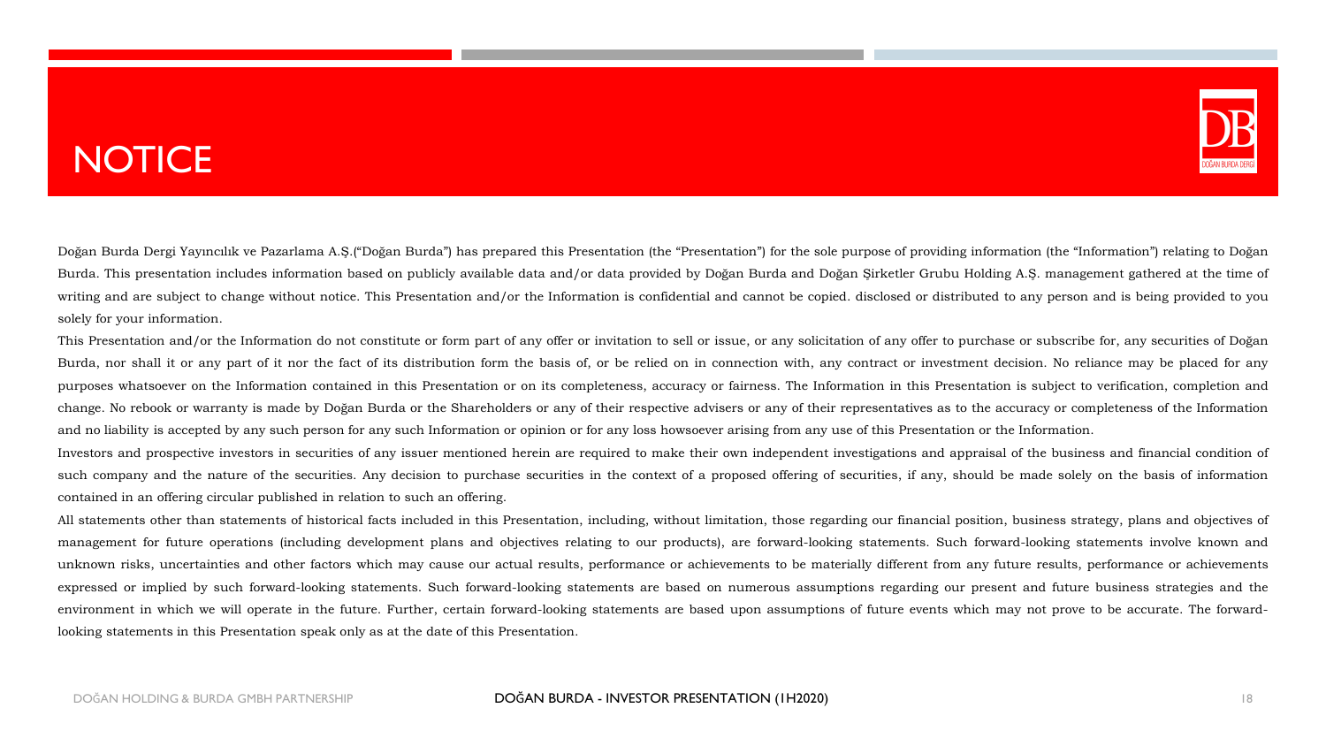#### **NOTICE**



Doğan Burda Dergi Yayıncılık ve Pazarlama A.Ş.("Doğan Burda") has prepared this Presentation (the "Presentation") for the sole purpose of providing information (the "Information") relating to Doğan Burda. This presentation includes information based on publicly available data and/or data provided by Doğan Burda and Doğan Şirketler Grubu Holding A.Ş. management gathered at the time of writing and are subject to change without notice. This Presentation and/or the Information is confidential and cannot be copied. disclosed or distributed to any person and is being provided to you solely for your information.

This Presentation and/or the Information do not constitute or form part of any offer or invitation to sell or issue, or any solicitation of any offer to purchase or subscribe for, any securities of Doğan Burda, nor shall it or any part of it nor the fact of its distribution form the basis of, or be relied on in connection with, any contract or investment decision. No reliance may be placed for any purposes whatsoever on the Information contained in this Presentation or on its completeness, accuracy or fairness. The Information in this Presentation is subject to verification, completion and change. No rebook or warranty is made by Doğan Burda or the Shareholders or any of their respective advisers or any of their representatives as to the accuracy or completeness of the Information and no liability is accepted by any such person for any such Information or opinion or for any loss howsoever arising from any use of this Presentation or the Information.

Investors and prospective investors in securities of any issuer mentioned herein are required to make their own independent investigations and appraisal of the business and financial condition of such company and the nature of the securities. Any decision to purchase securities in the context of a proposed offering of securities, if any, should be made solely on the basis of information contained in an offering circular published in relation to such an offering.

All statements other than statements of historical facts included in this Presentation, including, without limitation, those regarding our financial position, business strategy, plans and objectives of management for future operations (including development plans and objectives relating to our products), are forward-looking statements. Such forward-looking statements involve known and unknown risks, uncertainties and other factors which may cause our actual results, performance or achievements to be materially different from any future results, performance or achievements expressed or implied by such forward-looking statements. Such forward-looking statements are based on numerous assumptions regarding our present and future business strategies and the environment in which we will operate in the future. Further, certain forward-looking statements are based upon assumptions of future events which may not prove to be accurate. The forwardlooking statements in this Presentation speak only as at the date of this Presentation.